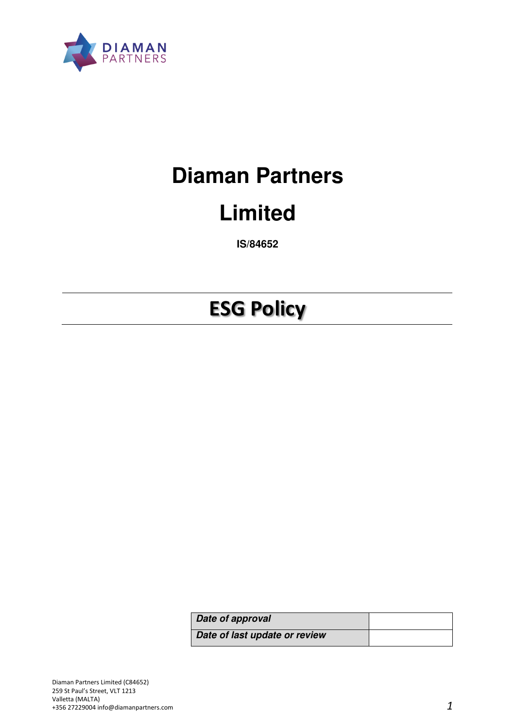

# **Diaman Partners**

## **Limited**

**IS/84652** 

## **ESG Policy**

| Date of approval              |  |
|-------------------------------|--|
| Date of last update or review |  |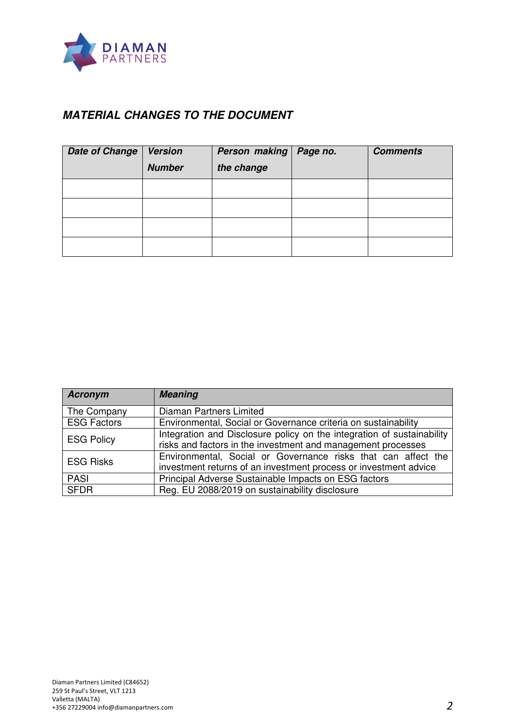

## **MATERIAL CHANGES TO THE DOCUMENT**

| <b>Date of Change</b> | <b>Version</b><br><b>Number</b> | Person making<br>the change | Page no. | <b>Comments</b> |
|-----------------------|---------------------------------|-----------------------------|----------|-----------------|
|                       |                                 |                             |          |                 |
|                       |                                 |                             |          |                 |
|                       |                                 |                             |          |                 |
|                       |                                 |                             |          |                 |

| <b>Acronym</b>     | <b>Meaning</b>                                                                                                                         |  |  |
|--------------------|----------------------------------------------------------------------------------------------------------------------------------------|--|--|
| The Company        | Diaman Partners Limited                                                                                                                |  |  |
| <b>ESG Factors</b> | Environmental, Social or Governance criteria on sustainability                                                                         |  |  |
| <b>ESG Policy</b>  | Integration and Disclosure policy on the integration of sustainability<br>risks and factors in the investment and management processes |  |  |
| <b>ESG Risks</b>   | Environmental, Social or Governance risks that can affect the<br>investment returns of an investment process or investment advice      |  |  |
| <b>PASI</b>        | Principal Adverse Sustainable Impacts on ESG factors                                                                                   |  |  |
| <b>SFDR</b>        | Reg. EU 2088/2019 on sustainability disclosure                                                                                         |  |  |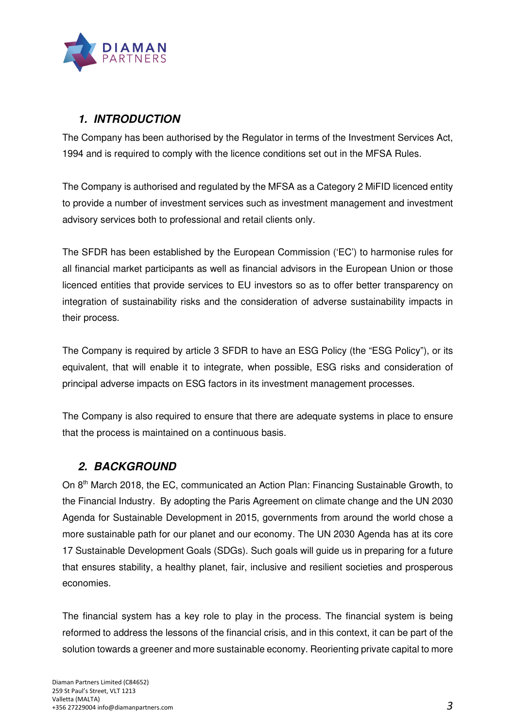

## **1. INTRODUCTION**

The Company has been authorised by the Regulator in terms of the Investment Services Act, 1994 and is required to comply with the licence conditions set out in the MFSA Rules.

The Company is authorised and regulated by the MFSA as a Category 2 MiFID licenced entity to provide a number of investment services such as investment management and investment advisory services both to professional and retail clients only.

The SFDR has been established by the European Commission ('EC') to harmonise rules for all financial market participants as well as financial advisors in the European Union or those licenced entities that provide services to EU investors so as to offer better transparency on integration of sustainability risks and the consideration of adverse sustainability impacts in their process.

The Company is required by article 3 SFDR to have an ESG Policy (the "ESG Policy"), or its equivalent, that will enable it to integrate, when possible, ESG risks and consideration of principal adverse impacts on ESG factors in its investment management processes.

The Company is also required to ensure that there are adequate systems in place to ensure that the process is maintained on a continuous basis.

## **2. BACKGROUND**

On 8th March 2018, the EC, communicated an Action Plan: Financing Sustainable Growth, to the Financial Industry. By adopting the Paris Agreement on climate change and the UN 2030 Agenda for Sustainable Development in 2015, governments from around the world chose a more sustainable path for our planet and our economy. The UN 2030 Agenda has at its core 17 Sustainable Development Goals (SDGs). Such goals will guide us in preparing for a future that ensures stability, a healthy planet, fair, inclusive and resilient societies and prosperous economies.

The financial system has a key role to play in the process. The financial system is being reformed to address the lessons of the financial crisis, and in this context, it can be part of the solution towards a greener and more sustainable economy. Reorienting private capital to more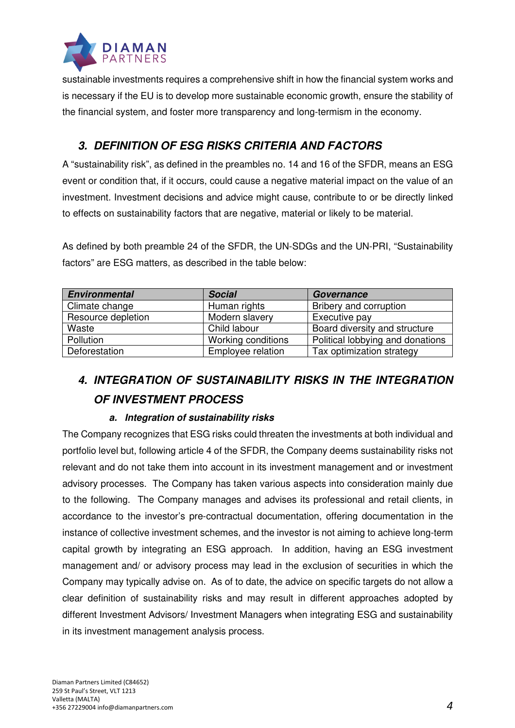

sustainable investments requires a comprehensive shift in how the financial system works and is necessary if the EU is to develop more sustainable economic growth, ensure the stability of the financial system, and foster more transparency and long-termism in the economy.

## **3. DEFINITION OF ESG RISKS CRITERIA AND FACTORS**

A "sustainability risk", as defined in the preambles no. 14 and 16 of the SFDR, means an ESG event or condition that, if it occurs, could cause a negative material impact on the value of an investment. Investment decisions and advice might cause, contribute to or be directly linked to effects on sustainability factors that are negative, material or likely to be material.

As defined by both preamble 24 of the SFDR, the UN-SDGs and the UN-PRI, "Sustainability factors" are ESG matters, as described in the table below:

| <b>Environmental</b> | <b>Social</b>      | Governance                       |
|----------------------|--------------------|----------------------------------|
| Climate change       | Human rights       | Bribery and corruption           |
| Resource depletion   | Modern slavery     | Executive pay                    |
| Waste                | Child labour       | Board diversity and structure    |
| Pollution            | Working conditions | Political lobbying and donations |
| Deforestation        | Employee relation  | Tax optimization strategy        |

## **4. INTEGRATION OF SUSTAINABILITY RISKS IN THE INTEGRATION OF INVESTMENT PROCESS**

### **a. Integration of sustainability risks**

The Company recognizes that ESG risks could threaten the investments at both individual and portfolio level but, following article 4 of the SFDR, the Company deems sustainability risks not relevant and do not take them into account in its investment management and or investment advisory processes. The Company has taken various aspects into consideration mainly due to the following. The Company manages and advises its professional and retail clients, in accordance to the investor's pre-contractual documentation, offering documentation in the instance of collective investment schemes, and the investor is not aiming to achieve long-term capital growth by integrating an ESG approach. In addition, having an ESG investment management and/ or advisory process may lead in the exclusion of securities in which the Company may typically advise on. As of to date, the advice on specific targets do not allow a clear definition of sustainability risks and may result in different approaches adopted by different Investment Advisors/ Investment Managers when integrating ESG and sustainability in its investment management analysis process.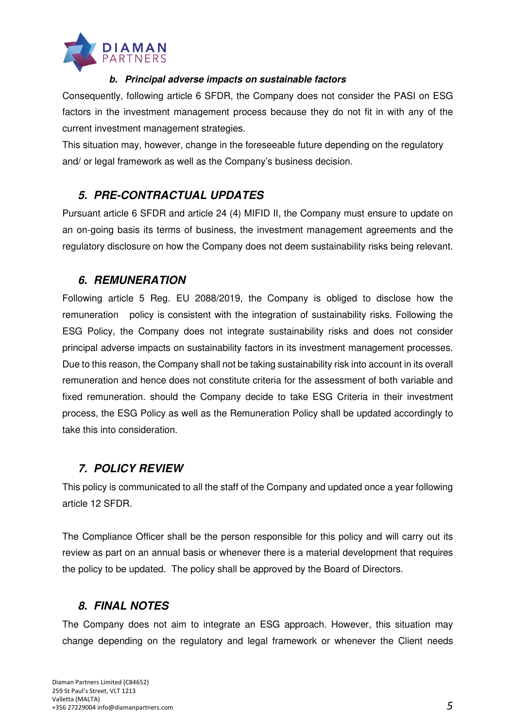

#### **b. Principal adverse impacts on sustainable factors**

Consequently, following article 6 SFDR, the Company does not consider the PASI on ESG factors in the investment management process because they do not fit in with any of the current investment management strategies.

This situation may, however, change in the foreseeable future depending on the regulatory and/ or legal framework as well as the Company's business decision.

## **5. PRE-CONTRACTUAL UPDATES**

Pursuant article 6 SFDR and article 24 (4) MIFID II, the Company must ensure to update on an on-going basis its terms of business, the investment management agreements and the regulatory disclosure on how the Company does not deem sustainability risks being relevant.

### **6. REMUNERATION**

Following article 5 Reg. EU 2088/2019, the Company is obliged to disclose how the remuneration policy is consistent with the integration of sustainability risks. Following the ESG Policy, the Company does not integrate sustainability risks and does not consider principal adverse impacts on sustainability factors in its investment management processes. Due to this reason, the Company shall not be taking sustainability risk into account in its overall remuneration and hence does not constitute criteria for the assessment of both variable and fixed remuneration. should the Company decide to take ESG Criteria in their investment process, the ESG Policy as well as the Remuneration Policy shall be updated accordingly to take this into consideration.

## **7. POLICY REVIEW**

This policy is communicated to all the staff of the Company and updated once a year following article 12 SFDR.

The Compliance Officer shall be the person responsible for this policy and will carry out its review as part on an annual basis or whenever there is a material development that requires the policy to be updated. The policy shall be approved by the Board of Directors.

## **8. FINAL NOTES**

The Company does not aim to integrate an ESG approach. However, this situation may change depending on the regulatory and legal framework or whenever the Client needs